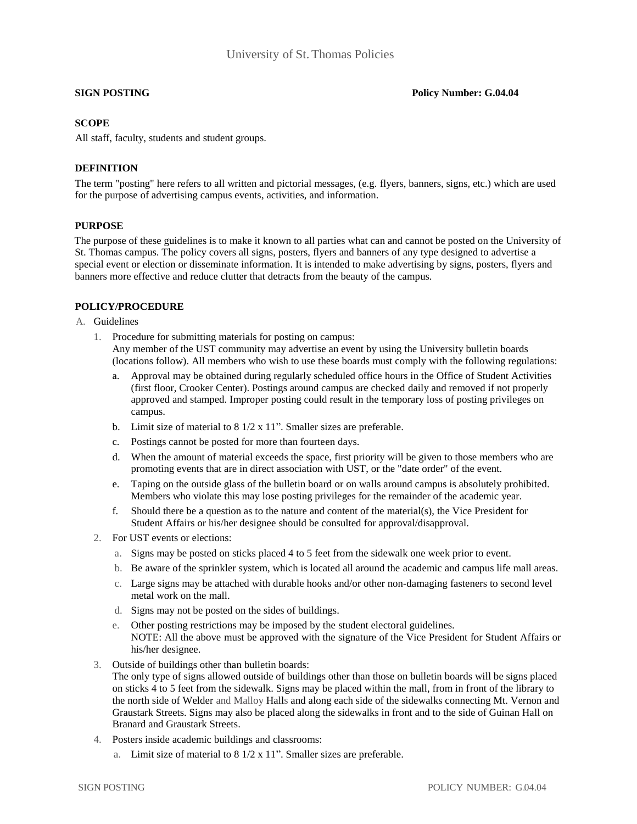**SIGN POSTING POSTING POSTING POSTING POSTING POSTING** 

# **SCOPE**

All staff, faculty, students and student groups.

# **DEFINITION**

The term "posting" here refers to all written and pictorial messages, (e.g. flyers, banners, signs, etc.) which are used for the purpose of advertising campus events, activities, and information.

## **PURPOSE**

The purpose of these guidelines is to make it known to all parties what can and cannot be posted on the University of St. Thomas campus. The policy covers all signs, posters, flyers and banners of any type designed to advertise a special event or election or disseminate information. It is intended to make advertising by signs, posters, flyers and banners more effective and reduce clutter that detracts from the beauty of the campus.

## **POLICY/PROCEDURE**

A. Guidelines

- 1. Procedure for submitting materials for posting on campus: Any member of the UST community may advertise an event by using the University bulletin boards (locations follow). All members who wish to use these boards must comply with the following regulations:
	- a. Approval may be obtained during regularly scheduled office hours in the Office of Student Activities (first floor, Crooker Center). Postings around campus are checked daily and removed if not properly approved and stamped. Improper posting could result in the temporary loss of posting privileges on campus.
	- b. Limit size of material to 8 1/2 x 11". Smaller sizes are preferable.
	- c. Postings cannot be posted for more than fourteen days.
	- d. When the amount of material exceeds the space, first priority will be given to those members who are promoting events that are in direct association with UST, or the "date order" of the event.
	- e. Taping on the outside glass of the bulletin board or on walls around campus is absolutely prohibited. Members who violate this may lose posting privileges for the remainder of the academic year.
	- f. Should there be a question as to the nature and content of the material(s), the Vice President for Student Affairs or his/her designee should be consulted for approval/disapproval.
- 2. For UST events or elections:
	- a. Signs may be posted on sticks placed 4 to 5 feet from the sidewalk one week prior to event.
	- b. Be aware of the sprinkler system, which is located all around the academic and campus life mall areas.
	- c. Large signs may be attached with durable hooks and/or other non-damaging fasteners to second level metal work on the mall.
	- d. Signs may not be posted on the sides of buildings.
	- e. Other posting restrictions may be imposed by the student electoral guidelines. NOTE: All the above must be approved with the signature of the Vice President for Student Affairs or his/her designee.
- 3. Outside of buildings other than bulletin boards:
	- The only type of signs allowed outside of buildings other than those on bulletin boards will be signs placed on sticks 4 to 5 feet from the sidewalk. Signs may be placed within the mall, from in front of the library to the north side of Welder and Malloy Halls and along each side of the sidewalks connecting Mt. Vernon and Graustark Streets. Signs may also be placed along the sidewalks in front and to the side of Guinan Hall on Branard and Graustark Streets.
- 4. Posters inside academic buildings and classrooms:
	- a. Limit size of material to 8 1/2 x 11". Smaller sizes are preferable.